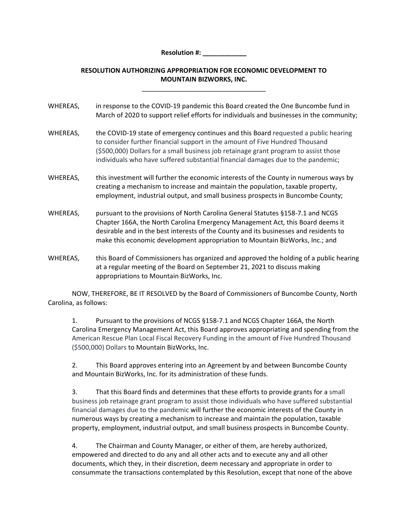**Resolution #: \_\_\_\_\_\_\_\_\_\_\_\_**

## **RESOLUTION AUTHORIZING APPROPRIATION FOR ECONOMIC DEVELOPMENT TO MOUNTAIN BIZWORKS, INC.**

\_\_\_\_\_\_\_\_\_\_\_\_\_\_\_\_\_\_\_\_\_\_\_\_\_\_\_\_\_\_\_\_\_\_

| WHEREAS, | in response to the COVID-19 pandemic this Board created the One Buncombe fund in<br>March of 2020 to support relief efforts for individuals and businesses in the community;                                                                                                                                                                    |
|----------|-------------------------------------------------------------------------------------------------------------------------------------------------------------------------------------------------------------------------------------------------------------------------------------------------------------------------------------------------|
| WHEREAS, | the COVID-19 state of emergency continues and this Board requested a public hearing<br>to consider further financial support in the amount of Five Hundred Thousand<br>(\$500,000) Dollars for a small business job retainage grant program to assist those<br>individuals who have suffered substantial financial damages due to the pandemic; |
| WHEREAS, | this investment will further the economic interests of the County in numerous ways by<br>creating a mechanism to increase and maintain the population, taxable property,<br>employment, industrial output, and small business prospects in Buncombe County;                                                                                     |
| WHEREAS, | pursuant to the provisions of North Carolina General Statutes §158-7.1 and NCGS<br>Chapter 166A, the North Carolina Emergency Management Act, this Board deems it<br>desirable and in the best interests of the County and its businesses and residents to<br>make this economic development appropriation to Mountain BizWorks, Inc.; and      |
| WHEREAS, | this Board of Commissioners has organized and approved the holding of a public hearing<br>at a regular meeting of the Board on September 21, 2021 to discuss making                                                                                                                                                                             |

NOW, THEREFORE, BE IT RESOLVED by the Board of Commissioners of Buncombe County, North Carolina, as follows:

appropriations to Mountain BizWorks, Inc.

1. Pursuant to the provisions of NCGS §158‐7.1 and NCGS Chapter 166A, the North Carolina Emergency Management Act, this Board approves appropriating and spending from the American Rescue Plan Local Fiscal Recovery Funding in the amount of Five Hundred Thousand (\$500,000) Dollars to Mountain BizWorks, Inc.

2. This Board approves entering into an Agreement by and between Buncombe County and Mountain BizWorks, Inc. for its administration of these funds.

3. That this Board finds and determines that these efforts to provide grants for a small business job retainage grant program to assist those individuals who have suffered substantial financial damages due to the pandemic will further the economic interests of the County in numerous ways by creating a mechanism to increase and maintain the population, taxable property, employment, industrial output, and small business prospects in Buncombe County.

4. The Chairman and County Manager, or either of them, are hereby authorized, empowered and directed to do any and all other acts and to execute any and all other documents, which they, in their discretion, deem necessary and appropriate in order to consummate the transactions contemplated by this Resolution, except that none of the above